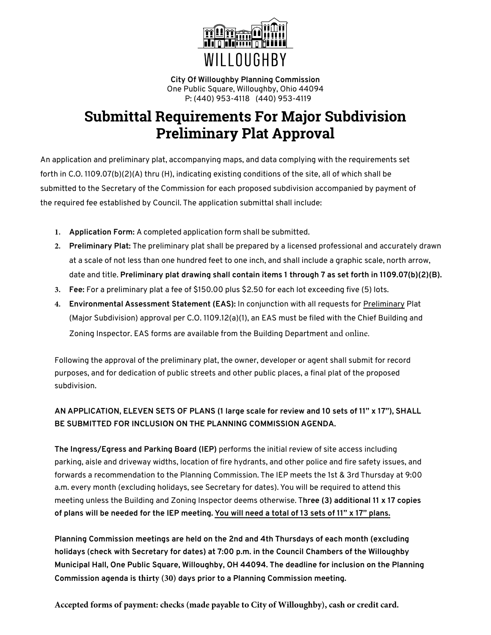

**City Of Willoughby Planning Commission** One Public Square, Willoughby, Ohio 44094 P: (440) 953-4118 (440) 953-4119

# **Submittal Requirements For Major Subdivision Preliminary Plat Approval**

An application and preliminary plat, accompanying maps, and data complying with the requirements set forth in C.O. 1109.07(b)(2)(A) thru (H), indicating existing conditions of the site, all of which shall be submitted to the Secretary of the Commission for each proposed subdivision accompanied by payment of the required fee established by Council. The application submittal shall include:

- **1. Application Form:** A completed application form shall be submitted.
- **2. Preliminary Plat:** The preliminary plat shall be prepared by a licensed professional and accurately drawn at a scale of not less than one hundred feet to one inch, and shall include a graphic scale, north arrow, date and title. **Preliminary plat drawing shall contain items 1 through 7 as set forth in 1109.07(b)(2)(B).**
- **3. Fee:** For a preliminary plat a fee of \$150.00 plus \$2.50 for each lot exceeding five (5) lots.
- **4. Environmental Assessment Statement (EAS):** In conjunction with all requests for Preliminary Plat (Major Subdivision) approval per C.O. 1109.12(a)(1), an EAS must be filed with the Chief Building and Zoning Inspector. EAS forms are available from the Building Department and online.

Following the approval of the preliminary plat, the owner, developer or agent shall submit for record purposes, and for dedication of public streets and other public places, a final plat of the proposed subdivision.

### **AN APPLICATION, ELEVEN SETS OF PLANS (1 large scale for review and 10 sets of 11" x 17"), SHALL BE SUBMITTED FOR INCLUSION ON THE PLANNING COMMISSION AGENDA.**

**The Ingress/Egress and Parking Board (IEP)** performs the initial review of site access including parking, aisle and driveway widths, location of fire hydrants, and other police and fire safety issues, and forwards a recommendation to the Planning Commission. The IEP meets the 1st & 3rd Thursday at 9:00 a.m. every month (excluding holidays, see Secretary for dates). You will be required to attend this meeting unless the Building and Zoning Inspector deems otherwise. T**hree (3) additional 11 x 17 copies of plans will be needed for the IEP meeting. You will need a total of 13 sets of 11" x 17" plans.**

**Planning Commission meetings are held on the 2nd and 4th Thursdays of each month (excluding holidays (check with Secretary for dates) at 7:00 p.m. in the Council Chambers of the Willoughby Municipal Hall, One Public Square, Willoughby, OH 44094. The deadline for inclusion on the Planning Commission agenda is thirty (30) days prior to a Planning Commission meeting.**

**Accepted forms of payment: checks (made payable to City of Willoughby), cash or credit card.**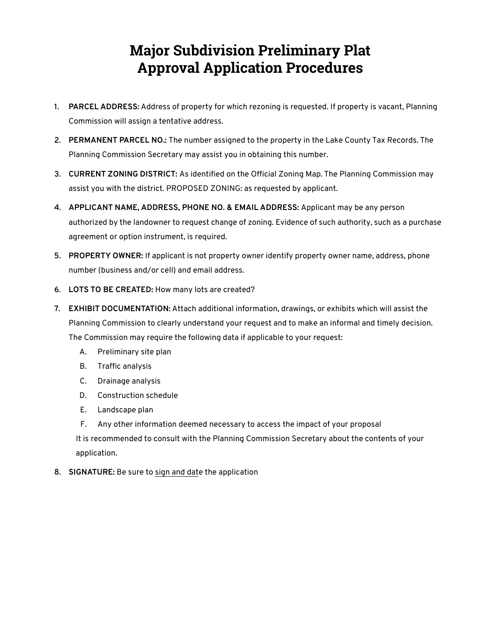# **Major Subdivision Preliminary Plat Approval Application Procedures**

- **1. PARCEL ADDRESS:** Address of property for which rezoning is requested. If property is vacant, Planning Commission will assign a tentative address.
- **2. PERMANENT PARCEL NO.:** The number assigned to the property in the Lake County Tax Records. The Planning Commission Secretary may assist you in obtaining this number.
- **3. CURRENT ZONING DISTRICT:** As identified on the Official Zoning Map. The Planning Commission may assist you with the district. PROPOSED ZONING: as requested by applicant.
- **4. APPLICANT NAME, ADDRESS, PHONE NO. & EMAIL ADDRESS:** Applicant may be any person authorized by the landowner to request change of zoning. Evidence of such authority, such as a purchase agreement or option instrument, is required.
- **5. PROPERTY OWNER:** If applicant is not property owner identify property owner name, address, phone number (business and/or cell) and email address.
- **6. LOTS TO BE CREATED:** How many lots are created?
- **7. EXHIBIT DOCUMENTATION:** Attach additional information, drawings, or exhibits which will assist the Planning Commission to clearly understand your request and to make an informal and timely decision. The Commission may require the following data if applicable to your request:
	- A. Preliminary site plan
	- B. Traffic analysis
	- C. Drainage analysis
	- D. Construction schedule
	- E. Landscape plan
	- F. Any other information deemed necessary to access the impact of your proposal

It is recommended to consult with the Planning Commission Secretary about the contents of your application.

**8. SIGNATURE:** Be sure to sign and date the application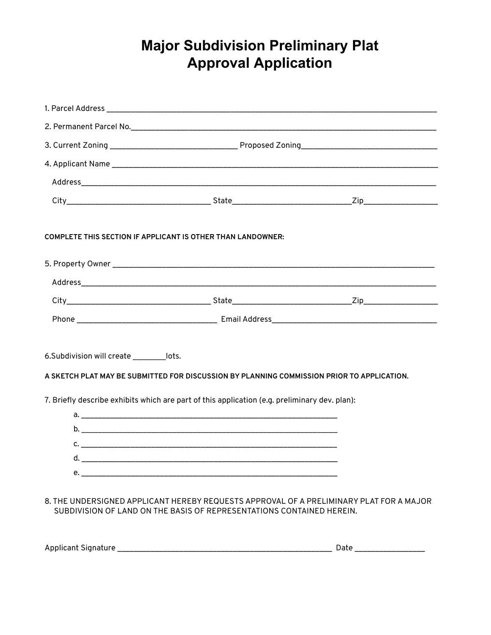### **Major Subdivision Preliminary Plat Approval Application**

| <b>COMPLETE THIS SECTION IF APPLICANT IS OTHER THAN LANDOWNER:</b>                                                                                               |  |  |  |
|------------------------------------------------------------------------------------------------------------------------------------------------------------------|--|--|--|
|                                                                                                                                                                  |  |  |  |
|                                                                                                                                                                  |  |  |  |
|                                                                                                                                                                  |  |  |  |
|                                                                                                                                                                  |  |  |  |
| 6.Subdivision will create _________lots.<br>A SKETCH PLAT MAY BE SUBMITTED FOR DISCUSSION BY PLANNING COMMISSION PRIOR TO APPLICATION.                           |  |  |  |
| 7. Briefly describe exhibits which are part of this application (e.g. preliminary dev. plan):                                                                    |  |  |  |
|                                                                                                                                                                  |  |  |  |
|                                                                                                                                                                  |  |  |  |
|                                                                                                                                                                  |  |  |  |
|                                                                                                                                                                  |  |  |  |
|                                                                                                                                                                  |  |  |  |
| 8. THE UNDERSIGNED APPLICANT HEREBY REQUESTS APPROVAL OF A PRELIMINARY PLAT FOR A MAJOR<br>SUBDIVISION OF LAND ON THE BASIS OF REPRESENTATIONS CONTAINED HEREIN. |  |  |  |

| Applicant Signature<br>____ | ____ |
|-----------------------------|------|
|-----------------------------|------|